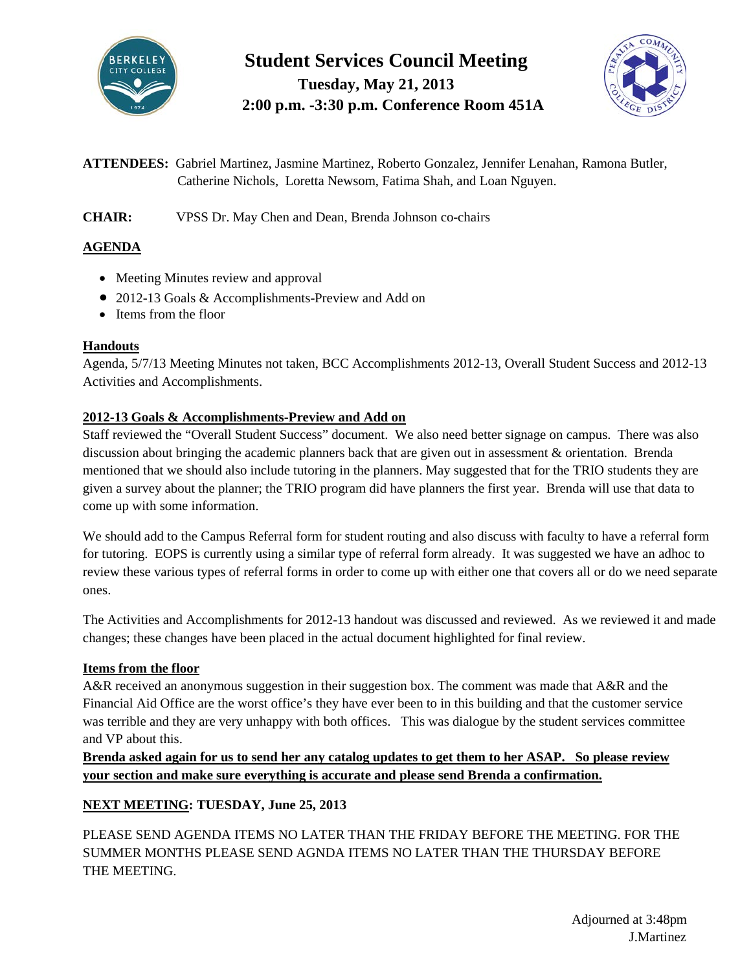

# **Student Services Council Meeting Tuesday, May 21, 2013 2:00 p.m. -3:30 p.m. Conference Room 451A**



**ATTENDEES:** Gabriel Martinez, Jasmine Martinez, Roberto Gonzalez, Jennifer Lenahan, Ramona Butler, Catherine Nichols, Loretta Newsom, Fatima Shah, and Loan Nguyen.

**CHAIR:** VPSS Dr. May Chen and Dean, Brenda Johnson co-chairs

# **AGENDA**

- Meeting Minutes review and approval
- 2012-13 Goals & Accomplishments-Preview and Add on
- Items from the floor

# **Handouts**

Agenda, 5/7/13 Meeting Minutes not taken, BCC Accomplishments 2012-13, Overall Student Success and 2012-13 Activities and Accomplishments.

# **2012-13 Goals & Accomplishments-Preview and Add on**

Staff reviewed the "Overall Student Success" document. We also need better signage on campus. There was also discussion about bringing the academic planners back that are given out in assessment & orientation. Brenda mentioned that we should also include tutoring in the planners. May suggested that for the TRIO students they are given a survey about the planner; the TRIO program did have planners the first year. Brenda will use that data to come up with some information.

We should add to the Campus Referral form for student routing and also discuss with faculty to have a referral form for tutoring. EOPS is currently using a similar type of referral form already. It was suggested we have an adhoc to review these various types of referral forms in order to come up with either one that covers all or do we need separate ones.

The Activities and Accomplishments for 2012-13 handout was discussed and reviewed. As we reviewed it and made changes; these changes have been placed in the actual document highlighted for final review.

# **Items from the floor**

A&R received an anonymous suggestion in their suggestion box. The comment was made that A&R and the Financial Aid Office are the worst office's they have ever been to in this building and that the customer service was terrible and they are very unhappy with both offices. This was dialogue by the student services committee and VP about this.

**Brenda asked again for us to send her any catalog updates to get them to her ASAP. So please review your section and make sure everything is accurate and please send Brenda a confirmation.** 

# **NEXT MEETING: TUESDAY, June 25, 2013**

PLEASE SEND AGENDA ITEMS NO LATER THAN THE FRIDAY BEFORE THE MEETING. FOR THE SUMMER MONTHS PLEASE SEND AGNDA ITEMS NO LATER THAN THE THURSDAY BEFORE THE MEETING.